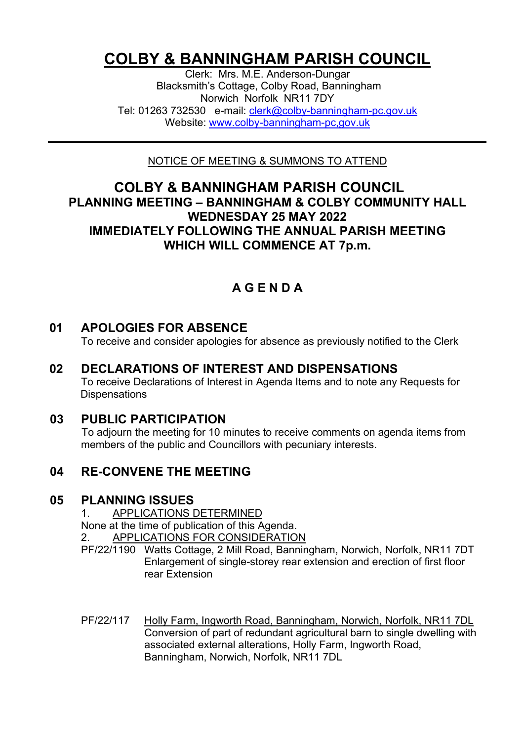# **COLBY & BANNINGHAM PARISH COUNCIL**

Clerk: Mrs. M.E. Anderson-Dungar Blacksmith's Cottage, Colby Road, Banningham Norwich Norfolk NR11 7DY Tel: 01263 732530 e-mail: [clerk@colby-banningham-pc.gov.uk](mailto:clerk@colby-banningham-pc.gov.uk) Website: [www.colby-banningham-pc,gov.uk](http://www.colby-banningham-pc,gov.uk/)

NOTICE OF MEETING & SUMMONS TO ATTEND

#### **COLBY & BANNINGHAM PARISH COUNCIL PLANNING MEETING – BANNINGHAM & COLBY COMMUNITY HALL WEDNESDAY 25 MAY 2022 IMMEDIATELY FOLLOWING THE ANNUAL PARISH MEETING WHICH WILL COMMENCE AT 7p.m.**

## **A G E N D A**

#### **01 APOLOGIES FOR ABSENCE**

To receive and consider apologies for absence as previously notified to the Clerk

**02 DECLARATIONS OF INTEREST AND DISPENSATIONS** To receive Declarations of Interest in Agenda Items and to note any Requests for **Dispensations** 

#### **03 PUBLIC PARTICIPATION**

To adjourn the meeting for 10 minutes to receive comments on agenda items from members of the public and Councillors with pecuniary interests.

#### **04 RE-CONVENE THE MEETING**

#### **05 PLANNING ISSUES**

1. APPLICATIONS DETERMINED

None at the time of publication of this Agenda.

2. APPLICATIONS FOR CONSIDERATION

- PF/22/1190 Watts Cottage, 2 Mill Road, Banningham, Norwich, Norfolk, NR11 7DT Enlargement of single-storey rear extension and erection of first floor rear Extension
- PF/22/117 Holly Farm, Ingworth Road, Banningham, Norwich, Norfolk, NR11 7DL Conversion of part of redundant agricultural barn to single dwelling with associated external alterations, Holly Farm, Ingworth Road, Banningham, Norwich, Norfolk, NR11 7DL